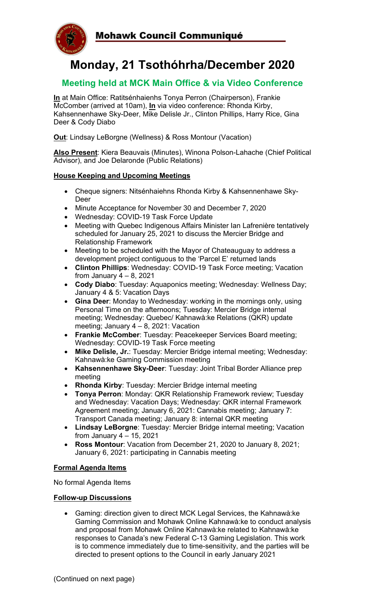

# **Monday, 21 Tsothóhrha/December 2020**

### **Meeting held at MCK Main Office & via Video Conference**

**In** at Main Office: Ratitsénhaienhs Tonya Perron (Chairperson), Frankie McComber (arrived at 10am), **In** via video conference: Rhonda Kirby, Kahsennenhawe Sky-Deer, Mike Delisle Jr., Clinton Phillips, Harry Rice, Gina Deer & Cody Diabo

**Out**: Lindsay LeBorgne (Wellness) & Ross Montour (Vacation)

**Also Present**: Kiera Beauvais (Minutes), Winona Polson-Lahache (Chief Political Advisor), and Joe Delaronde (Public Relations)

#### **House Keeping and Upcoming Meetings**

- Cheque signers: Nitsénhaiehns Rhonda Kirby & Kahsennenhawe Sky-Deer
- Minute Acceptance for November 30 and December 7, 2020
- Wednesday: COVID-19 Task Force Update
- Meeting with Quebec Indigenous Affairs Minister Ian Lafrenière tentatively scheduled for January 25, 2021 to discuss the Mercier Bridge and Relationship Framework
- Meeting to be scheduled with the Mayor of Chateauguay to address a development project contiguous to the 'Parcel E' returned lands
- **Clinton Phillips**: Wednesday: COVID-19 Task Force meeting; Vacation from January  $4 - 8$ , 2021
- **Cody Diabo**: Tuesday: Aquaponics meeting; Wednesday: Wellness Day; January 4 & 5: Vacation Days
- **Gina Deer**: Monday to Wednesday: working in the mornings only, using Personal Time on the afternoons; Tuesday: Mercier Bridge internal meeting; Wednesday: Quebec/ Kahnawà:ke Relations (QKR) update meeting; January 4 – 8, 2021: Vacation
- **Frankie McComber**: Tuesday: Peacekeeper Services Board meeting; Wednesday: COVID-19 Task Force meeting
- **Mike Delisle, Jr.**: Tuesday: Mercier Bridge internal meeting; Wednesday: Kahnawà:ke Gaming Commission meeting
- **Kahsennenhawe Sky-Deer**: Tuesday: Joint Tribal Border Alliance prep meeting
- **Rhonda Kirby**: Tuesday: Mercier Bridge internal meeting
- **Tonya Perron**: Monday: QKR Relationship Framework review; Tuesday and Wednesday: Vacation Days; Wednesday: QKR internal Framework Agreement meeting; January 6, 2021: Cannabis meeting; January 7: Transport Canada meeting; January 8: internal QKR meeting
- **Lindsay LeBorgne**: Tuesday: Mercier Bridge internal meeting; Vacation from January  $4 - 15$ , 2021
- **Ross Montour**: Vacation from December 21, 2020 to January 8, 2021; January 6, 2021: participating in Cannabis meeting

#### **Formal Agenda Items**

No formal Agenda Items

#### **Follow-up Discussions**

• Gaming: direction given to direct MCK Legal Services, the Kahnawà:ke Gaming Commission and Mohawk Online Kahnawà:ke to conduct analysis and proposal from Mohawk Online Kahnawà:ke related to Kahnawà:ke responses to Canada's new Federal C-13 Gaming Legislation. This work is to commence immediately due to time-sensitivity, and the parties will be directed to present options to the Council in early January 2021